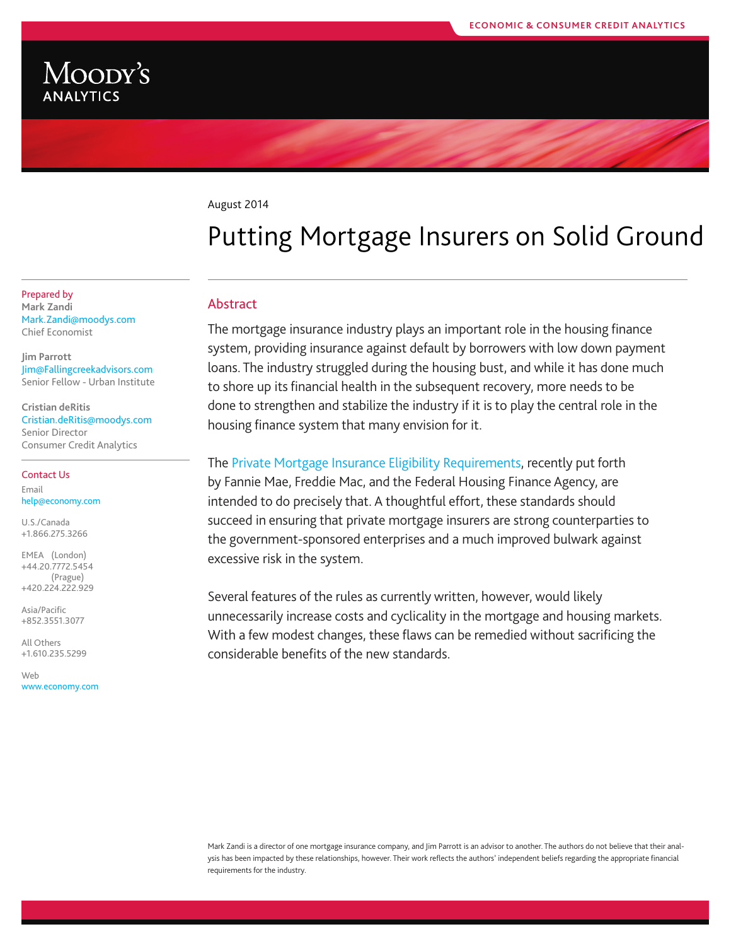

## August 2014 Putting Mortgage Insurers on Solid Ground

### Abstract

The mortgage insurance industry plays an important role in the housing finance system, providing insurance against default by borrowers with low down payment loans. The industry struggled during the housing bust, and while it has done much to shore up its financial health in the subsequent recovery, more needs to be done to strengthen and stabilize the industry if it is to play the central role in the housing finance system that many envision for it.

The [Private Mortgage Insurance Eligibility Requirements](http://www.fhfa.gov/PolicyProgramsResearch/Policy/Pages/Draft-Mortgage-Insurance-Eligibility-Requirements-(PMIERs).aspx), recently put forth by Fannie Mae, Freddie Mac, and the Federal Housing Finance Agency, are intended to do precisely that. A thoughtful effort, these standards should succeed in ensuring that private mortgage insurers are strong counterparties to the government-sponsored enterprises and a much improved bulwark against excessive risk in the system.

Several features of the rules as currently written, however, would likely unnecessarily increase costs and cyclicality in the mortgage and housing markets. With a few modest changes, these flaws can be remedied without sacrificing the considerable benefits of the new standards.

Prepared by **Mark Zandi** Mark.Zandi@moodys.com Chief Economist

**Jim Parrott** Jim@Fallingcreekadvisors.com Senior Fellow - Urban Institute

**Cristian deRitis** Cristian.deRitis@moodys.com Senior Director Consumer Credit Analytics

Contact Us Email

[help@economy.com](mailto:help@economy.com)

U.S./Canada +1.866.275.3266

EMEA (London) +44.20.7772.5454 (Prague) +420.224.222.929

Asia/Pacific +852.3551.3077

All Others +1.610.235.5299

Web [www.economy.com](http://www.economy.com)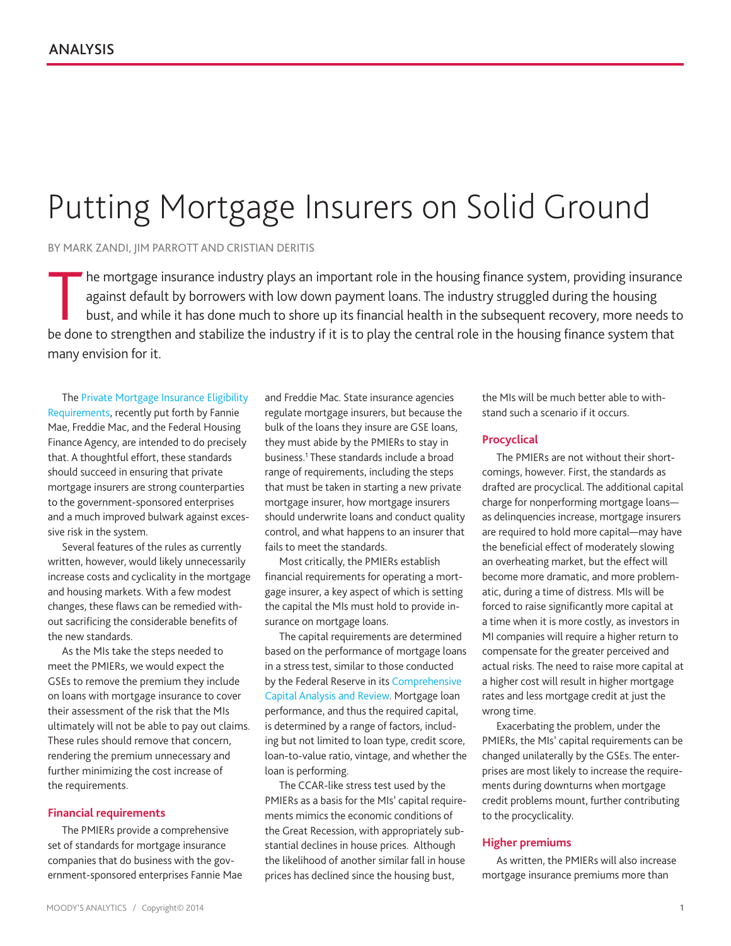# Putting Mortgage Insurers on Solid Ground

By Mark Zandi, Jim parrott AND cRISTIAN DERITIS

The mortgage insurance industry plays an important role in the housing finance system, providing insurance<br>against default by borrowers with low down payment loans. The industry struggled during the housing<br>bust, and while against default by borrowers with low down payment loans. The industry struggled during the housing bust, and while it has done much to shore up its financial health in the subsequent recovery, more needs to be done to strengthen and stabilize the industry if it is to play the central role in the housing finance system that many envision for it.

The [Private Mortgage Insurance Eligibility](http://www.fhfa.gov/PolicyProgramsResearch/Policy/Pages/Draft-Mortgage-Insurance-Eligibility-Requirements-(PMIERs).aspx)  [Requirements](http://www.fhfa.gov/PolicyProgramsResearch/Policy/Pages/Draft-Mortgage-Insurance-Eligibility-Requirements-(PMIERs).aspx), recently put forth by Fannie Mae, Freddie Mac, and the Federal Housing Finance Agency, are intended to do precisely that. A thoughtful effort, these standards should succeed in ensuring that private mortgage insurers are strong counterparties to the government-sponsored enterprises and a much improved bulwark against excessive risk in the system.

Several features of the rules as currently written, however, would likely unnecessarily increase costs and cyclicality in the mortgage and housing markets. With a few modest changes, these flaws can be remedied without sacrificing the considerable benefits of the new standards.

As the MIs take the steps needed to meet the PMIERs, we would expect the GSEs to remove the premium they include on loans with mortgage insurance to cover their assessment of the risk that the MIs ultimately will not be able to pay out claims. These rules should remove that concern, rendering the premium unnecessary and further minimizing the cost increase of the requirements.

### **Financial requirements**

The PMIERs provide a comprehensive set of standards for mortgage insurance companies that do business with the government-sponsored enterprises Fannie Mae and Freddie Mac. State insurance agencies regulate mortgage insurers, but because the bulk of the loans they insure are GSE loans, they must abide by the PMIERs to stay in business.<sup>1</sup> These standards include a broad range of requirements, including the steps that must be taken in starting a new private mortgage insurer, how mortgage insurers should underwrite loans and conduct quality control, and what happens to an insurer that fails to meet the standards.

Most critically, the PMIERs establish financial requirements for operating a mortgage insurer, a key aspect of which is setting the capital the MIs must hold to provide insurance on mortgage loans.

The capital requirements are determined based on the performance of mortgage loans in a stress test, similar to those conducted by the Federal Reserve in its [Comprehensive](http://www.federalreserve.gov/bankinforeg/stress-tests-capital-planning.htm)  [Capital Analysis and Review](http://www.federalreserve.gov/bankinforeg/stress-tests-capital-planning.htm). Mortgage loan performance, and thus the required capital, is determined by a range of factors, including but not limited to loan type, credit score, loan-to-value ratio, vintage, and whether the loan is performing.

The CCAR-like stress test used by the PMIERs as a basis for the MIs' capital requirements mimics the economic conditions of the Great Recession, with appropriately substantial declines in house prices. Although the likelihood of another similar fall in house prices has declined since the housing bust,

the MIs will be much better able to withstand such a scenario if it occurs.

### **Procyclical**

The PMIERs are not without their shortcomings, however. First, the standards as drafted are procyclical. The additional capital charge for nonperforming mortgage loans as delinquencies increase, mortgage insurers are required to hold more capital—may have the beneficial effect of moderately slowing an overheating market, but the effect will become more dramatic, and more problematic, during a time of distress. MIs will be forced to raise significantly more capital at a time when it is more costly, as investors in MI companies will require a higher return to compensate for the greater perceived and actual risks. The need to raise more capital at a higher cost will result in higher mortgage rates and less mortgage credit at just the wrong time.

Exacerbating the problem, under the PMIERs, the MIs' capital requirements can be changed unilaterally by the GSEs. The enterprises are most likely to increase the requirements during downturns when mortgage credit problems mount, further contributing to the procyclicality.

#### **Higher premiums**

As written, the PMIERs will also increase mortgage insurance premiums more than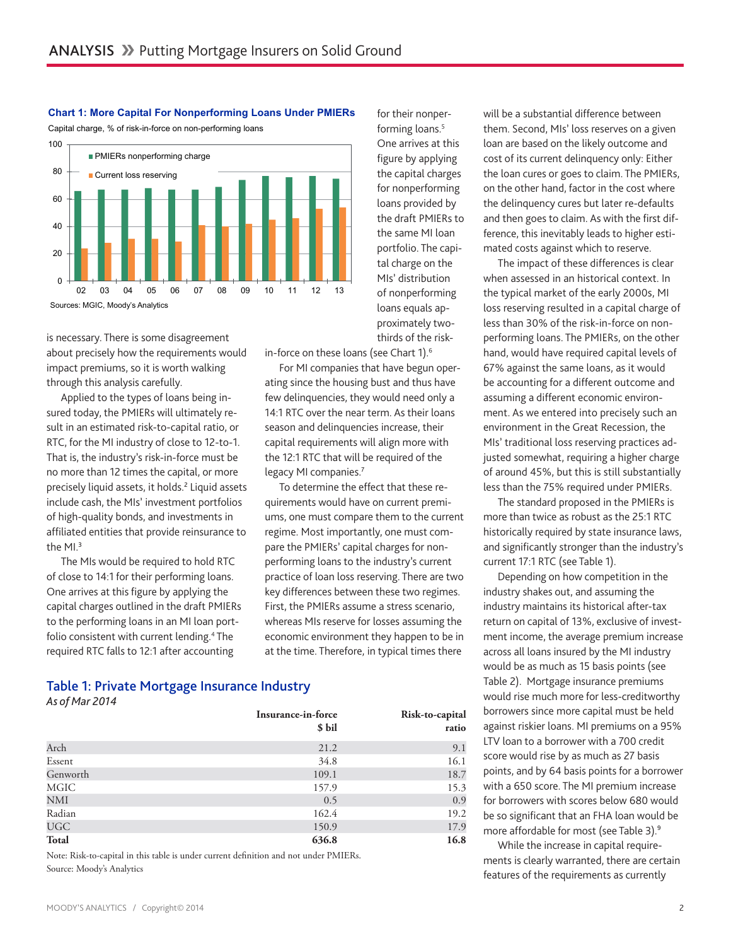

**Chart 1: More Capital For Nonperforming Loans Under PMIERs**



is necessary. There is some disagreement about precisely how the requirements would impact premiums, so it is worth walking through this analysis carefully.

Applied to the types of loans being insured today, the PMIERs will ultimately result in an estimated risk-to-capital ratio, or RTC, for the MI industry of close to 12-to-1. That is, the industry's risk-in-force must be no more than 12 times the capital, or more precisely liquid assets, it holds.<sup>2</sup> Liquid assets include cash, the MIs' investment portfolios of high-quality bonds, and investments in affiliated entities that provide reinsurance to the MI.<sup>3</sup>

The MIs would be required to hold RTC of close to 14:1 for their performing loans. One arrives at this figure by applying the capital charges outlined in the draft PMIERs to the performing loans in an MI loan portfolio consistent with current lending.4 The required RTC falls to 12:1 after accounting

proximately twothirds of the risk-

for their nonperforming loans.<sup>5</sup> One arrives at this figure by applying the capital charges for nonperforming loans provided by the draft PMIERs to the same MI loan portfolio. The capital charge on the MIs' distribution of nonperforming loans equals ap-

in-force on these loans (see Chart 1).<sup>6</sup>

For MI companies that have begun operating since the housing bust and thus have few delinquencies, they would need only a 14:1 RTC over the near term. As their loans season and delinquencies increase, their capital requirements will align more with the 12:1 RTC that will be required of the legacy MI companies.<sup>7</sup>

To determine the effect that these requirements would have on current premiums, one must compare them to the current regime. Most importantly, one must compare the PMIERs' capital charges for nonperforming loans to the industry's current practice of loan loss reserving. There are two key differences between these two regimes. First, the PMIERs assume a stress scenario, whereas MIs reserve for losses assuming the economic environment they happen to be in at the time. Therefore, in typical times there

Table 1: Private Mortgage Insurance Industry

*As of Mar 2014*

|              | Insurance-in-force<br>\$ bil | Risk-to-capital<br>ratio |
|--------------|------------------------------|--------------------------|
| Arch         | 21.2                         | 9.1                      |
| Essent       | 34.8                         | 16.1                     |
| Genworth     | 109.1                        | 18.7                     |
| <b>MGIC</b>  | 157.9                        | 15.3                     |
| NMI          | 0.5                          | 0.9                      |
| Radian       | 162.4                        | 19.2                     |
| UGC          | 150.9                        | 17.9                     |
| <b>Total</b> | 636.8                        | 16.8                     |

Note: Risk-to-capital in this table is under current definition and not under PMIERs. Source: Moody's Analytics

will be a substantial difference between them. Second, MIs' loss reserves on a given loan are based on the likely outcome and cost of its current delinquency only: Either the loan cures or goes to claim. The PMIERs, on the other hand, factor in the cost where the delinquency cures but later re-defaults and then goes to claim. As with the first difference, this inevitably leads to higher estimated costs against which to reserve.

The impact of these differences is clear when assessed in an historical context. In the typical market of the early 2000s, MI loss reserving resulted in a capital charge of less than 30% of the risk-in-force on nonperforming loans. The PMIERs, on the other hand, would have required capital levels of 67% against the same loans, as it would be accounting for a different outcome and assuming a different economic environment. As we entered into precisely such an environment in the Great Recession, the MIs' traditional loss reserving practices adjusted somewhat, requiring a higher charge of around 45%, but this is still substantially less than the 75% required under PMIERs.

The standard proposed in the PMIERs is more than twice as robust as the 25:1 RTC historically required by state insurance laws, and significantly stronger than the industry's current 17:1 RTC (see Table 1).

Depending on how competition in the industry shakes out, and assuming the industry maintains its historical after-tax return on capital of 13%, exclusive of investment income, the average premium increase across all loans insured by the MI industry would be as much as 15 basis points (see Table 2). Mortgage insurance premiums would rise much more for less-creditworthy borrowers since more capital must be held against riskier loans. MI premiums on a 95% LTV loan to a borrower with a 700 credit score would rise by as much as 27 basis points, and by 64 basis points for a borrower with a 650 score. The MI premium increase for borrowers with scores below 680 would be so significant that an FHA loan would be more affordable for most (see Table 3).<sup>9</sup>

While the increase in capital requirements is clearly warranted, there are certain features of the requirements as currently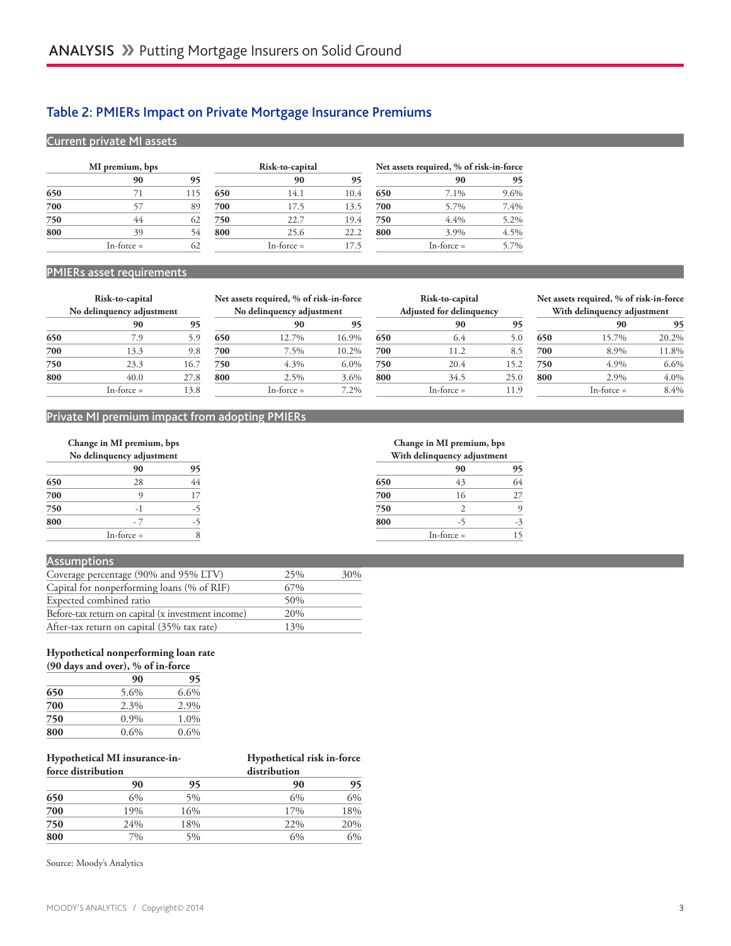### Table 2: PMIERs Impact on Private Mortgage Insurance Premiums

### Current private MI assets

|     | MI premium, bps |     |     | Risk-to-capital |      |     | Net assets required, % of risk-in-force |      |
|-----|-----------------|-----|-----|-----------------|------|-----|-----------------------------------------|------|
|     | 90              | 95  |     | 90              | 95   |     | 90                                      | 95   |
| 650 | 71              | 115 | 650 | 14.1            | 10.4 | 650 | 7.1%                                    | 9.6% |
| 700 | 57              | 89  | 700 | 17.5            | 13.5 | 700 | 5.7%                                    | 7.4% |
| 750 | 44              | 62  | 750 | 22.7            | 19.4 | 750 | 4.4%                                    | 5.2% |
| 800 | 39              |     | 800 | 25.6            | 22.2 | 800 | 3.9%                                    | 4.5% |
|     | $In-force =$    |     |     | $In-force =$    | 17.5 |     | $In-force =$                            | 5.7% |

### PMIERs asset requirements

|     | Risk-to-capital           |      |     | Net assets required, % of risk-in-force |         |                                 | Risk-to-capital |                             |     | Net assets required, % of risk-in-force |       |
|-----|---------------------------|------|-----|-----------------------------------------|---------|---------------------------------|-----------------|-----------------------------|-----|-----------------------------------------|-------|
|     | No delinquency adjustment |      |     | No delinquency adjustment               |         | <b>Adjusted for delinquency</b> |                 | With delinguency adjustment |     |                                         |       |
|     | 90                        |      |     | 90                                      | 95      |                                 | 90              |                             |     | 90                                      | 95    |
| 650 | 7.9                       | 5.9  | 650 | 12.7%                                   | 16.9%   | 650                             | 6.4             | 5.0                         | 650 | 15.7%                                   | 20.2% |
| 700 | 3.3                       | 9.8  | 700 | 7.5%                                    | 10.2%   | 700                             | 11.2            | 8.5                         | 700 | 8.9%                                    | 11.8% |
| 750 | 23.3                      | 16.  | 750 | 4.3%                                    | $6.0\%$ | 750                             | 20.4            | 15.2                        | 750 | 4.9%                                    | 6.6%  |
| 800 | 40.0                      | 27.8 | 800 | 2.5%                                    | 3.6%    | 800                             | 34.5            | 25.0                        | 800 | 2.9%                                    | 4.0%  |
|     | In-force $=$              | 13.8 |     | $In-force =$                            | $2\%$   |                                 | In-force $=$    | 11.9                        |     | In-force $=$                            | 8.4%  |

| With delinquency adjustment |              |       |  |  |
|-----------------------------|--------------|-------|--|--|
|                             | 90           | 95    |  |  |
| 650                         | 15.7%        | 20.2% |  |  |
| 700                         | 8.9%         | 11.8% |  |  |
| 750                         | 4.9%         | 6.6%  |  |  |
| 800                         | 2.9%         | 4.0%  |  |  |
|                             | $In-force =$ | 8.4%  |  |  |
|                             |              |       |  |  |

### Private MI premium impact from adopting PMIERs

| Change in MI premium, bps<br>No delinquency adjustment |              | Change in MI premium, bps<br>With delinquency adjustment |     |              |     |
|--------------------------------------------------------|--------------|----------------------------------------------------------|-----|--------------|-----|
|                                                        | 90           |                                                          |     | 90           |     |
| 650                                                    | 28           | 44                                                       | 650 | 43           | (2) |
| 700                                                    |              |                                                          | 700 | 16           |     |
| 750                                                    | -            |                                                          | 750 |              |     |
| 800                                                    | -            | -                                                        | 800 | - 1          |     |
|                                                        | $In-force =$ |                                                          |     | $In-force =$ |     |

### **Assumptions**

| Coverage percentage (90% and 95% LTV)              | 25% | 30% |
|----------------------------------------------------|-----|-----|
| Capital for nonperforming loans (% of RIF)         | 67% |     |
| Expected combined ratio                            | 50% |     |
| Before-tax return on capital (x investment income) | 20% |     |
| After-tax return on capital (35% tax rate)         | 13% |     |

### **Hypothetical nonperforming loan rate**

| (90 days and over), % of in-force |      |      |  |  |  |
|-----------------------------------|------|------|--|--|--|
|                                   | 90   | 95   |  |  |  |
| 650                               | 5.6% | 6.6% |  |  |  |
| 700                               | 2.3% | 2.9% |  |  |  |
| 750                               | 0.9% | 1.0% |  |  |  |
| 800                               | 0.6% | 0.6% |  |  |  |

| Hypothetical MI insurance-in-<br>force distribution |     |     | Hypothetical risk in-force<br>distribution |     |  |
|-----------------------------------------------------|-----|-----|--------------------------------------------|-----|--|
|                                                     |     |     |                                            |     |  |
| 650                                                 | 6%  | 5%  | 6%                                         | 6%  |  |
| 700                                                 | 19% | 16% | 17%                                        | 18% |  |
| 750                                                 | 24% | 18% | 22%                                        | 20% |  |
| 800                                                 | 7%  | 5%  | 6%                                         | 6%  |  |

Source: Moody's Analytics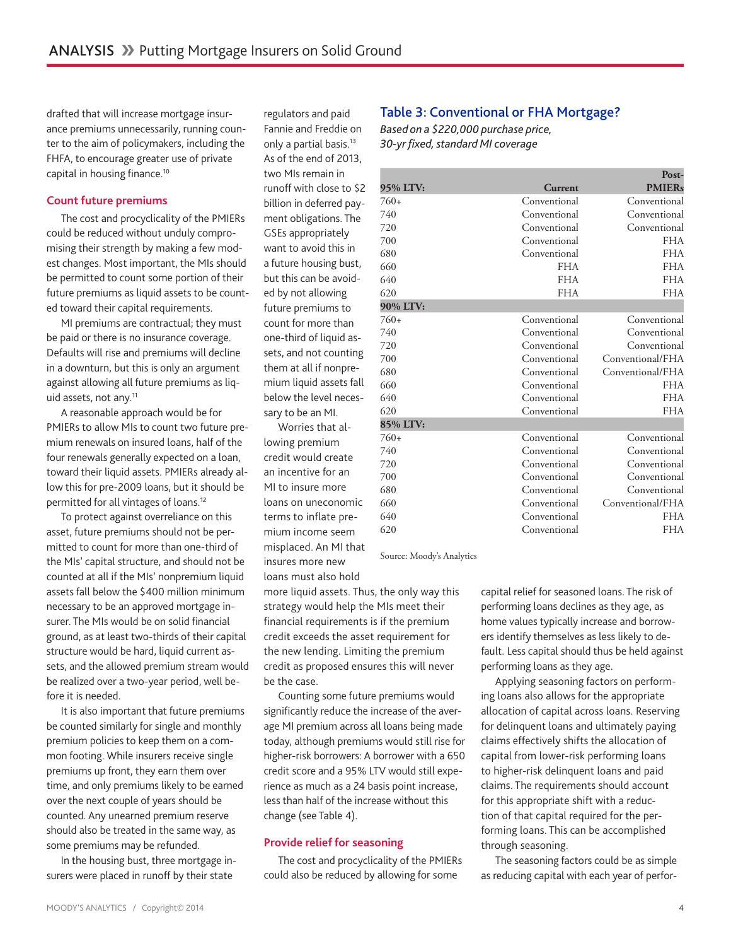drafted that will increase mortgage insurance premiums unnecessarily, running counter to the aim of policymakers, including the FHFA, to encourage greater use of private capital in housing finance.<sup>10</sup>

### **Count future premiums**

The cost and procyclicality of the PMIERs could be reduced without unduly compromising their strength by making a few modest changes. Most important, the MIs should be permitted to count some portion of their future premiums as liquid assets to be counted toward their capital requirements.

MI premiums are contractual; they must be paid or there is no insurance coverage. Defaults will rise and premiums will decline in a downturn, but this is only an argument against allowing all future premiums as liquid assets, not any.<sup>11</sup>

A reasonable approach would be for PMIERs to allow MIs to count two future premium renewals on insured loans, half of the four renewals generally expected on a loan, toward their liquid assets. PMIERs already allow this for pre-2009 loans, but it should be permitted for all vintages of loans.<sup>12</sup>

To protect against overreliance on this asset, future premiums should not be permitted to count for more than one-third of the MIs' capital structure, and should not be counted at all if the MIs' nonpremium liquid assets fall below the \$400 million minimum necessary to be an approved mortgage insurer. The MIs would be on solid financial ground, as at least two-thirds of their capital structure would be hard, liquid current assets, and the allowed premium stream would be realized over a two-year period, well before it is needed.

It is also important that future premiums be counted similarly for single and monthly premium policies to keep them on a common footing. While insurers receive single premiums up front, they earn them over time, and only premiums likely to be earned over the next couple of years should be counted. Any unearned premium reserve should also be treated in the same way, as some premiums may be refunded.

In the housing bust, three mortgage insurers were placed in runoff by their state

regulators and paid Fannie and Freddie on only a partial basis.<sup>13</sup> As of the end of 2013, two MIs remain in runoff with close to \$2 billion in deferred payment obligations. The GSEs appropriately want to avoid this in a future housing bust, but this can be avoided by not allowing future premiums to count for more than one-third of liquid assets, and not counting them at all if nonpremium liquid assets fall below the level necessary to be an MI.

Worries that allowing premium credit would create an incentive for an MI to insure more loans on uneconomic terms to inflate premium income seem misplaced. An MI that insures more new loans must also hold

### more liquid assets. Thus, the only way this strategy would help the MIs meet their financial requirements is if the premium credit exceeds the asset requirement for the new lending. Limiting the premium credit as proposed ensures this will never be the case.

Counting some future premiums would significantly reduce the increase of the average MI premium across all loans being made today, although premiums would still rise for higher-risk borrowers: A borrower with a 650 credit score and a 95% LTV would still experience as much as a 24 basis point increase, less than half of the increase without this change (see Table 4).

### **Provide relief for seasoning**

The cost and procyclicality of the PMIERs could also be reduced by allowing for some

### Table 3: Conventional or FHA Mortgage?

*Based on a \$220,000 purchase price, 30-yr fixed, standard MI coverage*

|          |              | Post-            |
|----------|--------------|------------------|
| 95% LTV: | Current      | <b>PMIERs</b>    |
| 760+     | Conventional | Conventional     |
| 740      | Conventional | Conventional     |
| 720      | Conventional | Conventional     |
| 700      | Conventional | <b>FHA</b>       |
| 680      | Conventional | <b>FHA</b>       |
| 660      | <b>FHA</b>   | <b>FHA</b>       |
| 640      | <b>FHA</b>   | <b>FHA</b>       |
| 620      | <b>FHA</b>   | <b>FHA</b>       |
| 90% LTV: |              |                  |
| 760+     | Conventional | Conventional     |
| 740      | Conventional | Conventional     |
| 720      | Conventional | Conventional     |
| 700      | Conventional | Conventional/FHA |
| 680      | Conventional | Conventional/FHA |
| 660      | Conventional | <b>FHA</b>       |
| 640      | Conventional | <b>FHA</b>       |
| 620      | Conventional | <b>FHA</b>       |
| 85% LTV: |              |                  |
| 760+     | Conventional | Conventional     |
| 740      | Conventional | Conventional     |
| 720      | Conventional | Conventional     |
| 700      | Conventional | Conventional     |
| 680      | Conventional | Conventional     |
| 660      | Conventional | Conventional/FHA |
| 640      | Conventional | <b>FHA</b>       |
| 620      | Conventional | <b>FHA</b>       |
|          |              |                  |

Source: Moody's Analytics

capital relief for seasoned loans. The risk of performing loans declines as they age, as home values typically increase and borrowers identify themselves as less likely to default. Less capital should thus be held against performing loans as they age.

Applying seasoning factors on performing loans also allows for the appropriate allocation of capital across loans. Reserving for delinquent loans and ultimately paying claims effectively shifts the allocation of capital from lower-risk performing loans to higher-risk delinquent loans and paid claims. The requirements should account for this appropriate shift with a reduction of that capital required for the performing loans. This can be accomplished through seasoning.

The seasoning factors could be as simple as reducing capital with each year of perfor-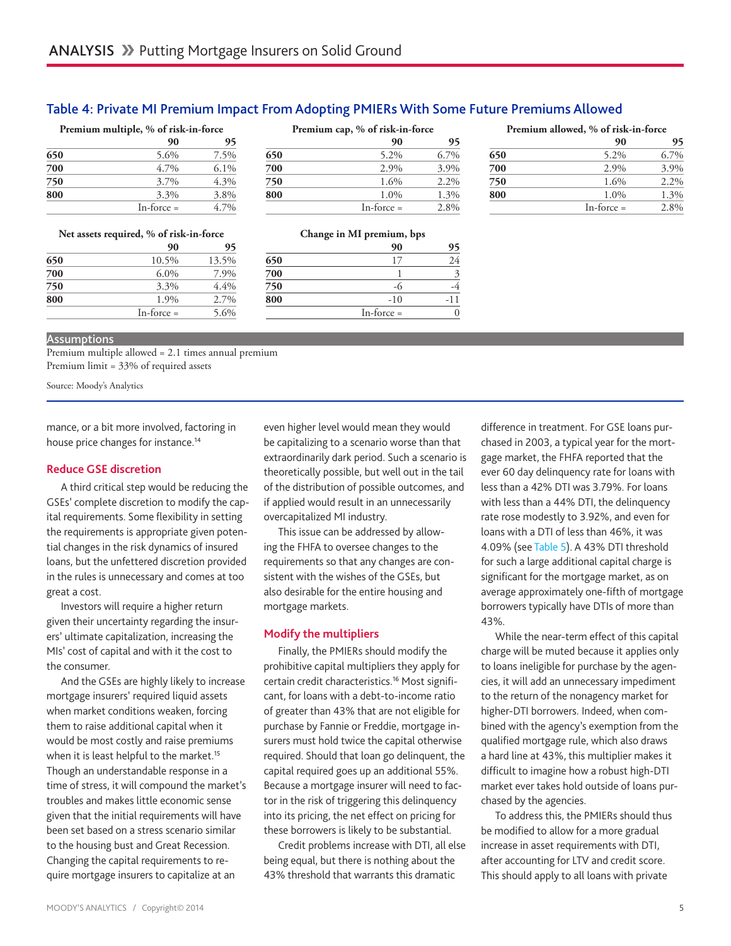### Table 4: Private MI Premium Impact From Adopting PMIERs With Some Future Premiums Allowed

| Premium multiple, % of risk-in-force |              |         | Premium cap, % of risk-in-force |              |      | Premium allowed, % of risk-in-force |              |      |
|--------------------------------------|--------------|---------|---------------------------------|--------------|------|-------------------------------------|--------------|------|
|                                      | 90           |         |                                 | 90           |      |                                     | 90           | 95   |
| 650                                  | .6%          | 7.5%    | 650                             | 5.2%         | 6.7% | 650                                 | 5.2%         | 6.7% |
| 700                                  | 4.7%         | $6.1\%$ | 700                             | 2.9%         | 3.9% | 700                                 | 2.9%         | 3.9% |
| 750                                  | 3.7%         | 4.3%    | 750                             | .6%          | 2.2% | 750                                 | 1.6%         | 2.2% |
| 800                                  | 3.3%         | 3.8%    | 800                             | $.0\%$       | 1.3% | 800                                 | 1.0%         | 1.3% |
|                                      | $In-force =$ | 4.7%    |                                 | $In-force =$ | 2.8% |                                     | $In-force =$ | 2.8% |

## **Premium cap, % of risk-in-force 90 95 90 95 90 95**  $In-force =$   $4.7\%$   $In-force =$   $2.8\%$   $In-force =$   $2.8\%$

|     | Premium allowed, % of risk-in-force |         |
|-----|-------------------------------------|---------|
|     | 90                                  | 95      |
| 50  | 5.2%                                | 6.7%    |
| 700 | 2.9%                                | 3.9%    |
| '50 | 1.6%                                | $2.2\%$ |
| 800 | 1.0%                                | 1.3%    |
|     | $In-force =$                        | 2.8%    |

### **Net assets required, % of risk-in-force Change in MI premium, bps**

|     | 90           | 95    |     | 90           | 95 |
|-----|--------------|-------|-----|--------------|----|
| 650 | 10.5%        | 13.5% | 650 |              | 24 |
| 700 | $6.0\%$      | 7.9%  | 700 |              | 3  |
| 750 | 3.3%         | 4.4%  | 750 | -0           | -4 |
| 800 | 1.9%         | 2.7%  | 800 | $-10$        |    |
|     | $In-force =$ | 5.6%  |     | $In-force =$ |    |

|            |       |     | ຼ | . .<br>. .   |       |
|------------|-------|-----|---|--------------|-------|
| 90         | 95    |     |   | 90           | 95    |
| 10.5%      | 13.5% | 650 |   | 17           | 24    |
| $6.0\%$    | 7.9%  | 700 |   |              | 3     |
| 3.3%       | 4.4%  | 750 |   | -ი           | -4    |
| 1.9%       | 2.7%  | 800 |   | $-10$        | $-11$ |
| In-force = | 5.6%  |     |   | $In-force =$ |       |

### **Assumptions**

Premium multiple allowed = 2.1 times annual premium Premium limit = 33% of required assets

Source: Moody's Analytics

mance, or a bit more involved, factoring in house price changes for instance.<sup>14</sup>

### **Reduce GSE discretion**

A third critical step would be reducing the GSEs' complete discretion to modify the capital requirements. Some flexibility in setting the requirements is appropriate given potential changes in the risk dynamics of insured loans, but the unfettered discretion provided in the rules is unnecessary and comes at too great a cost.

Investors will require a higher return given their uncertainty regarding the insurers' ultimate capitalization, increasing the MIs' cost of capital and with it the cost to the consumer.

And the GSEs are highly likely to increase mortgage insurers' required liquid assets when market conditions weaken, forcing them to raise additional capital when it would be most costly and raise premiums when it is least helpful to the market.<sup>15</sup> Though an understandable response in a time of stress, it will compound the market's troubles and makes little economic sense given that the initial requirements will have been set based on a stress scenario similar to the housing bust and Great Recession. Changing the capital requirements to require mortgage insurers to capitalize at an

even higher level would mean they would be capitalizing to a scenario worse than that extraordinarily dark period. Such a scenario is theoretically possible, but well out in the tail of the distribution of possible outcomes, and if applied would result in an unnecessarily overcapitalized MI industry.

This issue can be addressed by allowing the FHFA to oversee changes to the requirements so that any changes are consistent with the wishes of the GSEs, but also desirable for the entire housing and mortgage markets.

### **Modify the multipliers**

Finally, the PMIERs should modify the prohibitive capital multipliers they apply for certain credit characteristics.16 Most significant, for loans with a debt-to-income ratio of greater than 43% that are not eligible for purchase by Fannie or Freddie, mortgage insurers must hold twice the capital otherwise required. Should that loan go delinquent, the capital required goes up an additional 55%. Because a mortgage insurer will need to factor in the risk of triggering this delinquency into its pricing, the net effect on pricing for these borrowers is likely to be substantial.

Credit problems increase with DTI, all else being equal, but there is nothing about the 43% threshold that warrants this dramatic

difference in treatment. For GSE loans purchased in 2003, a typical year for the mortgage market, the FHFA reported that the ever 60 day delinquency rate for loans with less than a 42% DTI was 3.79%. For loans with less than a 44% DTI, the delinquency rate rose modestly to 3.92%, and even for loans with a DTI of less than 46%, it was 4.09% (see [Table 5](http://files.consumerfinance.gov/f/201205_cfpb_Ability_to_Repay.pdf)). A 43% DTI threshold for such a large additional capital charge is significant for the mortgage market, as on average approximately one-fifth of mortgage borrowers typically have DTIs of more than 43%.

While the near-term effect of this capital charge will be muted because it applies only to loans ineligible for purchase by the agencies, it will add an unnecessary impediment to the return of the nonagency market for higher-DTI borrowers. Indeed, when combined with the agency's exemption from the qualified mortgage rule, which also draws a hard line at 43%, this multiplier makes it difficult to imagine how a robust high-DTI market ever takes hold outside of loans purchased by the agencies.

To address this, the PMIERs should thus be modified to allow for a more gradual increase in asset requirements with DTI, after accounting for LTV and credit score. This should apply to all loans with private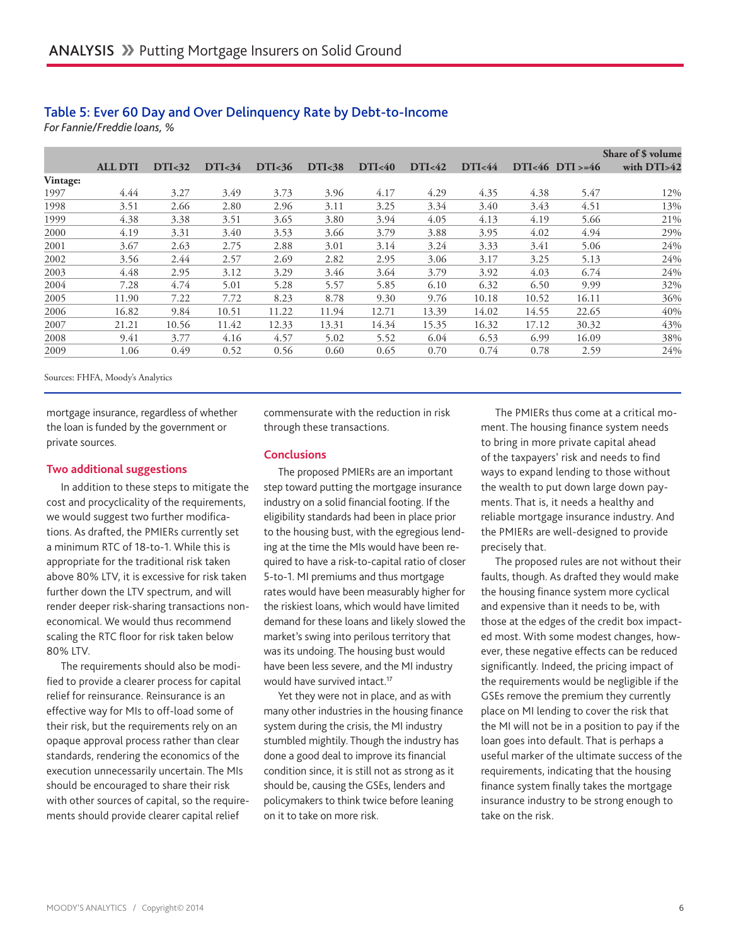|          |                |                   |                   |                   |                   |                   |                   |                   |       | Share of \$ volume |                 |
|----------|----------------|-------------------|-------------------|-------------------|-------------------|-------------------|-------------------|-------------------|-------|--------------------|-----------------|
|          | <b>ALL DTI</b> | DTI <sub>32</sub> | DTI <sub>34</sub> | DTI <sub>36</sub> | DTI <sub>38</sub> | DTI <sub>40</sub> | DTI <sub>42</sub> | DTI <sub>44</sub> |       | $DTI546DTT5=46$    | with $DTI > 42$ |
| Vintage: |                |                   |                   |                   |                   |                   |                   |                   |       |                    |                 |
| 1997     | 4.44           | 3.27              | 3.49              | 3.73              | 3.96              | 4.17              | 4.29              | 4.35              | 4.38  | 5.47               | 12%             |
| 1998     | 3.51           | 2.66              | 2.80              | 2.96              | 3.11              | 3.25              | 3.34              | 3.40              | 3.43  | 4.51               | 13%             |
| 1999     | 4.38           | 3.38              | 3.51              | 3.65              | 3.80              | 3.94              | 4.05              | 4.13              | 4.19  | 5.66               | 21%             |
| 2000     | 4.19           | 3.31              | 3.40              | 3.53              | 3.66              | 3.79              | 3.88              | 3.95              | 4.02  | 4.94               | 29%             |
| 2001     | 3.67           | 2.63              | 2.75              | 2.88              | 3.01              | 3.14              | 3.24              | 3.33              | 3.41  | 5.06               | 24%             |
| 2002     | 3.56           | 2.44              | 2.57              | 2.69              | 2.82              | 2.95              | 3.06              | 3.17              | 3.25  | 5.13               | 24%             |
| 2003     | 4.48           | 2.95              | 3.12              | 3.29              | 3.46              | 3.64              | 3.79              | 3.92              | 4.03  | 6.74               | 24%             |
| 2004     | 7.28           | 4.74              | 5.01              | 5.28              | 5.57              | 5.85              | 6.10              | 6.32              | 6.50  | 9.99               | 32%             |
| 2005     | 11.90          | 7.22              | 7.72              | 8.23              | 8.78              | 9.30              | 9.76              | 10.18             | 10.52 | 16.11              | 36%             |
| 2006     | 16.82          | 9.84              | 10.51             | 11.22             | 11.94             | 12.71             | 13.39             | 14.02             | 14.55 | 22.65              | 40%             |
| 2007     | 21.21          | 10.56             | 11.42             | 12.33             | 13.31             | 14.34             | 15.35             | 16.32             | 17.12 | 30.32              | 43%             |
| 2008     | 9.41           | 3.77              | 4.16              | 4.57              | 5.02              | 5.52              | 6.04              | 6.53              | 6.99  | 16.09              | 38%             |
| 2009     | 1.06           | 0.49              | 0.52              | 0.56              | 0.60              | 0.65              | 0.70              | 0.74              | 0.78  | 2.59               | 24%             |

### Table 5: Ever 60 Day and Over Delinquency Rate by Debt-to-Income

*For Fannie/Freddie loans, %*

Sources: FHFA, Moody's Analytics

mortgage insurance, regardless of whether the loan is funded by the government or private sources.

### **Two additional suggestions**

In addition to these steps to mitigate the cost and procyclicality of the requirements, we would suggest two further modifications. As drafted, the PMIERs currently set a minimum RTC of 18-to-1. While this is appropriate for the traditional risk taken above 80% LTV, it is excessive for risk taken further down the LTV spectrum, and will render deeper risk-sharing transactions noneconomical. We would thus recommend scaling the RTC floor for risk taken below 80% LTV.

The requirements should also be modified to provide a clearer process for capital relief for reinsurance. Reinsurance is an effective way for MIs to off-load some of their risk, but the requirements rely on an opaque approval process rather than clear standards, rendering the economics of the execution unnecessarily uncertain. The MIs should be encouraged to share their risk with other sources of capital, so the requirements should provide clearer capital relief

commensurate with the reduction in risk through these transactions.

### **Conclusions**

The proposed PMIERs are an important step toward putting the mortgage insurance industry on a solid financial footing. If the eligibility standards had been in place prior to the housing bust, with the egregious lending at the time the MIs would have been required to have a risk-to-capital ratio of closer 5-to-1. MI premiums and thus mortgage rates would have been measurably higher for the riskiest loans, which would have limited demand for these loans and likely slowed the market's swing into perilous territory that was its undoing. The housing bust would have been less severe, and the MI industry would have survived intact.<sup>17</sup>

Yet they were not in place, and as with many other industries in the housing finance system during the crisis, the MI industry stumbled mightily. Though the industry has done a good deal to improve its financial condition since, it is still not as strong as it should be, causing the GSEs, lenders and policymakers to think twice before leaning on it to take on more risk.

The PMIERs thus come at a critical moment. The housing finance system needs to bring in more private capital ahead of the taxpayers' risk and needs to find ways to expand lending to those without the wealth to put down large down payments. That is, it needs a healthy and reliable mortgage insurance industry. And the PMIERs are well-designed to provide precisely that.

The proposed rules are not without their faults, though. As drafted they would make the housing finance system more cyclical and expensive than it needs to be, with those at the edges of the credit box impacted most. With some modest changes, however, these negative effects can be reduced significantly. Indeed, the pricing impact of the requirements would be negligible if the GSEs remove the premium they currently place on MI lending to cover the risk that the MI will not be in a position to pay if the loan goes into default. That is perhaps a useful marker of the ultimate success of the requirements, indicating that the housing finance system finally takes the mortgage insurance industry to be strong enough to take on the risk.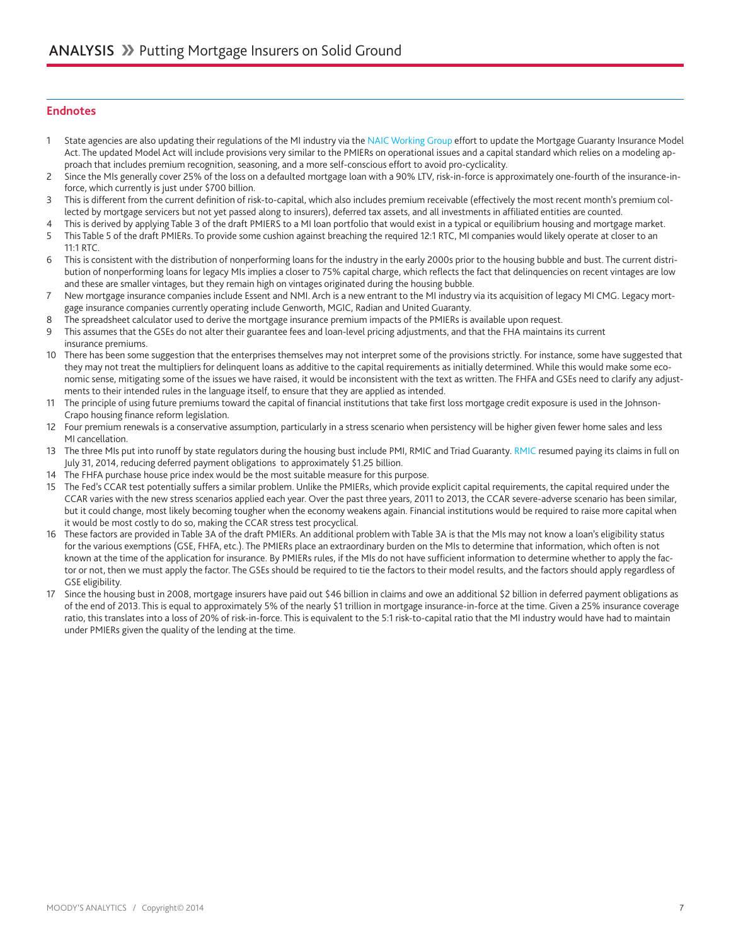### **Endnotes**

- 1 State agencies are also updating their regulations of the MI industry via the [NAIC Working Group](http://www.naic.org/committees_e_mortgage_guaranty_insurance_wg.htm) effort to update the Mortgage Guaranty Insurance Model Act. The updated Model Act will include provisions very similar to the PMIERs on operational issues and a capital standard which relies on a modeling approach that includes premium recognition, seasoning, and a more self-conscious effort to avoid pro-cyclicality.
- 2 Since the MIs generally cover 25% of the loss on a defaulted mortgage loan with a 90% LTV, risk-in-force is approximately one-fourth of the insurance-inforce, which currently is just under \$700 billion.
- 3 This is different from the current definition of risk-to-capital, which also includes premium receivable (effectively the most recent month's premium collected by mortgage servicers but not yet passed along to insurers), deferred tax assets, and all investments in affiliated entities are counted.
- This is derived by applying Table 3 of the draft PMIERS to a MI loan portfolio that would exist in a typical or equilibrium housing and mortgage market.
- 5 This Table 5 of the draft PMIERs. To provide some cushion against breaching the required 12:1 RTC, MI companies would likely operate at closer to an 11:1 RTC.
- 6 This is consistent with the distribution of nonperforming loans for the industry in the early 2000s prior to the housing bubble and bust. The current distribution of nonperforming loans for legacy MIs implies a closer to 75% capital charge, which reflects the fact that delinquencies on recent vintages are low and these are smaller vintages, but they remain high on vintages originated during the housing bubble.
- 7 New mortgage insurance companies include Essent and NMI. Arch is a new entrant to the MI industry via its acquisition of legacy MI CMG. Legacy mortgage insurance companies currently operating include Genworth, MGIC, Radian and United Guaranty.
- 8 The spreadsheet calculator used to derive the mortgage insurance premium impacts of the PMIERs is available upon request.
- 9 This assumes that the GSEs do not alter their guarantee fees and loan-level pricing adjustments, and that the FHA maintains its current insurance premiums.
- 10 There has been some suggestion that the enterprises themselves may not interpret some of the provisions strictly. For instance, some have suggested that they may not treat the multipliers for delinquent loans as additive to the capital requirements as initially determined. While this would make some economic sense, mitigating some of the issues we have raised, it would be inconsistent with the text as written. The FHFA and GSEs need to clarify any adjustments to their intended rules in the language itself, to ensure that they are applied as intended.
- 11 The principle of using future premiums toward the capital of financial institutions that take first loss mortgage credit exposure is used in the Johnson-Crapo housing finance reform legislation.
- 12 Four premium renewals is a conservative assumption, particularly in a stress scenario when persistency will be higher given fewer home sales and less MI cancellation.
- 13 The three MIs put into runoff by state regulators during the housing bust include PMI, [RMIC](http://www.rmic.com/ratesguides/releasenotes/Documents/Final%20Order%206-27-14.pdf) and Triad Guaranty. RMIC resumed paying its claims in full on July 31, 2014, reducing deferred payment obligations to approximately \$1.25 billion.
- 14 The FHFA purchase house price index would be the most suitable measure for this purpose.
- 15 The Fed's CCAR test potentially suffers a similar problem. Unlike the PMIERs, which provide explicit capital requirements, the capital required under the CCAR varies with the new stress scenarios applied each year. Over the past three years, 2011 to 2013, the CCAR severe-adverse scenario has been similar, but it could change, most likely becoming tougher when the economy weakens again. Financial institutions would be required to raise more capital when it would be most costly to do so, making the CCAR stress test procyclical.
- 16 These factors are provided in Table 3A of the draft PMIERs. An additional problem with Table 3A is that the MIs may not know a loan's eligibility status for the various exemptions (GSE, FHFA, etc.). The PMIERs place an extraordinary burden on the MIs to determine that information, which often is not known at the time of the application for insurance. By PMIERs rules, if the MIs do not have sufficient information to determine whether to apply the factor or not, then we must apply the factor. The GSEs should be required to tie the factors to their model results, and the factors should apply regardless of GSE eligibility.
- 17 Since the housing bust in 2008, mortgage insurers have paid out \$46 billion in claims and owe an additional \$2 billion in deferred payment obligations as of the end of 2013. This is equal to approximately 5% of the nearly \$1 trillion in mortgage insurance-in-force at the time. Given a 25% insurance coverage ratio, this translates into a loss of 20% of risk-in-force. This is equivalent to the 5:1 risk-to-capital ratio that the MI industry would have had to maintain under PMIERs given the quality of the lending at the time.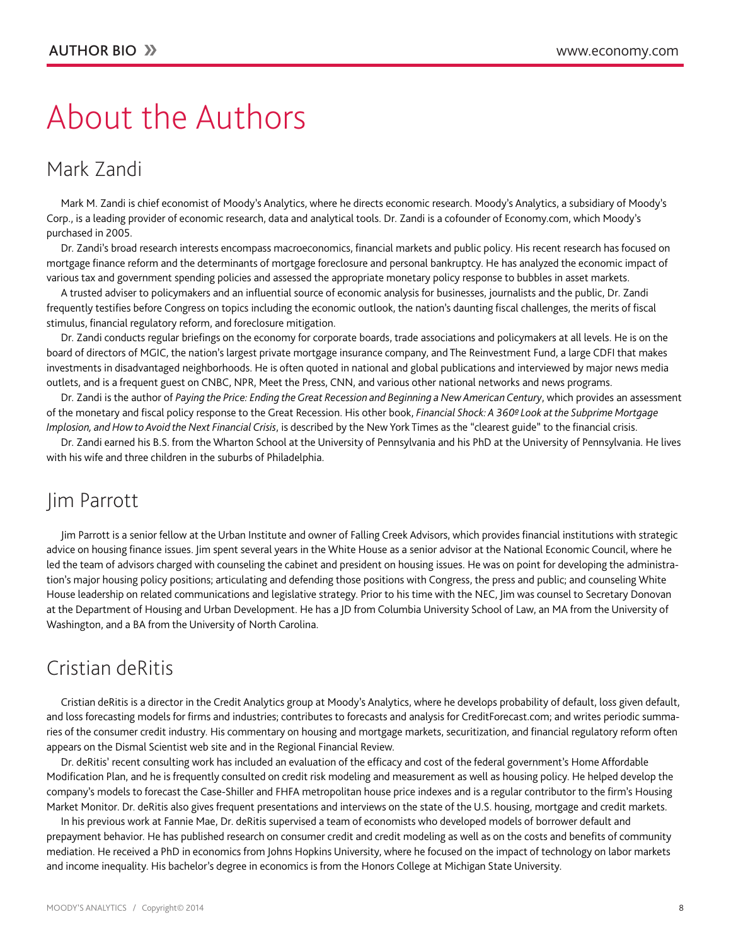## About the Authors

### Mark Zandi

Mark M. Zandi is chief economist of Moody's Analytics, where he directs economic research. Moody's Analytics, a subsidiary of Moody's Corp., is a leading provider of economic research, data and analytical tools. Dr. Zandi is a cofounder of Economy.com, which Moody's purchased in 2005.

Dr. Zandi's broad research interests encompass macroeconomics, financial markets and public policy. His recent research has focused on mortgage finance reform and the determinants of mortgage foreclosure and personal bankruptcy. He has analyzed the economic impact of various tax and government spending policies and assessed the appropriate monetary policy response to bubbles in asset markets.

A trusted adviser to policymakers and an influential source of economic analysis for businesses, journalists and the public, Dr. Zandi frequently testifies before Congress on topics including the economic outlook, the nation's daunting fiscal challenges, the merits of fiscal stimulus, financial regulatory reform, and foreclosure mitigation.

Dr. Zandi conducts regular briefings on the economy for corporate boards, trade associations and policymakers at all levels. He is on the board of directors of MGIC, the nation's largest private mortgage insurance company, and The Reinvestment Fund, a large CDFI that makes investments in disadvantaged neighborhoods. He is often quoted in national and global publications and interviewed by major news media outlets, and is a frequent guest on CNBC, NPR, Meet the Press, CNN, and various other national networks and news programs.

Dr. Zandi is the author of *Paying the Price: Ending the Great Recession and Beginning a New American Century*, which provides an assessment of the monetary and fiscal policy response to the Great Recession. His other book, *Financial Shock: A 360º Look at the Subprime Mortgage Implosion, and How to Avoid the Next Financial Crisis*, is described by the New York Times as the "clearest guide" to the financial crisis.

Dr. Zandi earned his B.S. from the Wharton School at the University of Pennsylvania and his PhD at the University of Pennsylvania. He lives with his wife and three children in the suburbs of Philadelphia.

### Jim Parrott

Jim Parrott is a senior fellow at the Urban Institute and owner of Falling Creek Advisors, which provides financial institutions with strategic advice on housing finance issues. Jim spent several years in the White House as a senior advisor at the National Economic Council, where he led the team of advisors charged with counseling the cabinet and president on housing issues. He was on point for developing the administration's major housing policy positions; articulating and defending those positions with Congress, the press and public; and counseling White House leadership on related communications and legislative strategy. Prior to his time with the NEC, Jim was counsel to Secretary Donovan at the Department of Housing and Urban Development. He has a JD from Columbia University School of Law, an MA from the University of Washington, and a BA from the University of North Carolina.

## Cristian deRitis

Cristian deRitis is a director in the Credit Analytics group at Moody's Analytics, where he develops probability of default, loss given default, and loss forecasting models for firms and industries; contributes to forecasts and analysis for CreditForecast.com; and writes periodic summaries of the consumer credit industry. His commentary on housing and mortgage markets, securitization, and financial regulatory reform often appears on the Dismal Scientist web site and in the Regional Financial Review.

Dr. deRitis' recent consulting work has included an evaluation of the efficacy and cost of the federal government's Home Affordable Modification Plan, and he is frequently consulted on credit risk modeling and measurement as well as housing policy. He helped develop the company's models to forecast the Case-Shiller and FHFA metropolitan house price indexes and is a regular contributor to the firm's Housing Market Monitor. Dr. deRitis also gives frequent presentations and interviews on the state of the U.S. housing, mortgage and credit markets.

In his previous work at Fannie Mae, Dr. deRitis supervised a team of economists who developed models of borrower default and prepayment behavior. He has published research on consumer credit and credit modeling as well as on the costs and benefits of community mediation. He received a PhD in economics from Johns Hopkins University, where he focused on the impact of technology on labor markets and income inequality. His bachelor's degree in economics is from the Honors College at Michigan State University.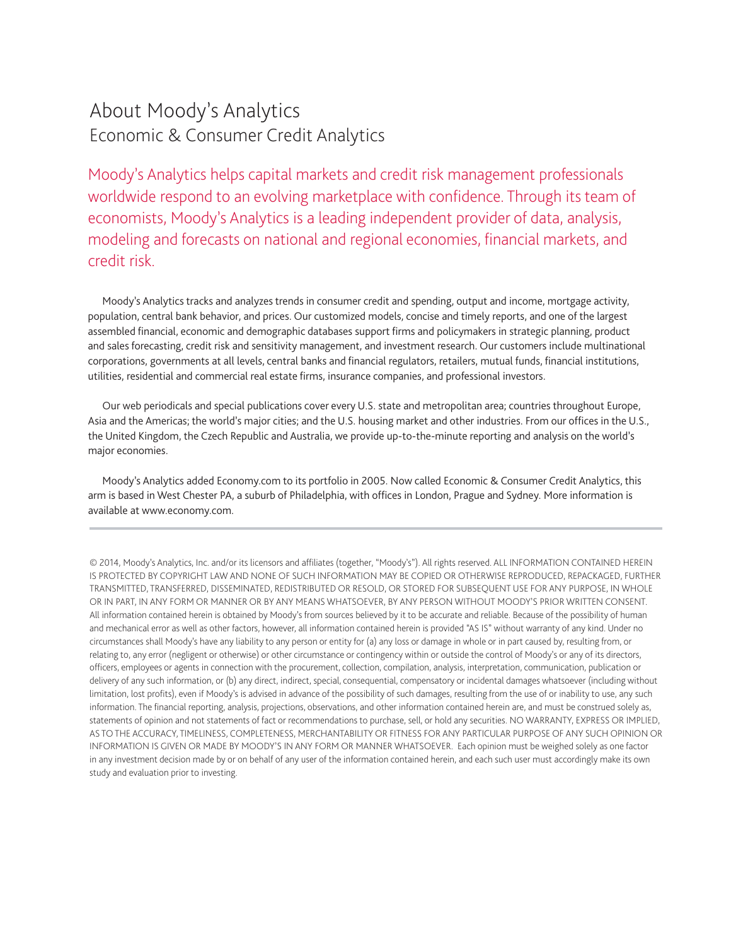## About Moody's Analytics Economic & Consumer Credit Analytics

Moody's Analytics helps capital markets and credit risk management professionals worldwide respond to an evolving marketplace with confidence. Through its team of economists, Moody's Analytics is a leading independent provider of data, analysis, modeling and forecasts on national and regional economies, financial markets, and credit risk.

Moody's Analytics tracks and analyzes trends in consumer credit and spending, output and income, mortgage activity, population, central bank behavior, and prices. Our customized models, concise and timely reports, and one of the largest assembled financial, economic and demographic databases support firms and policymakers in strategic planning, product and sales forecasting, credit risk and sensitivity management, and investment research. Our customers include multinational corporations, governments at all levels, central banks and financial regulators, retailers, mutual funds, financial institutions, utilities, residential and commercial real estate firms, insurance companies, and professional investors.

Our web periodicals and special publications cover every U.S. state and metropolitan area; countries throughout Europe, Asia and the Americas; the world's major cities; and the U.S. housing market and other industries. From our offices in the U.S., the United Kingdom, the Czech Republic and Australia, we provide up-to-the-minute reporting and analysis on the world's major economies.

Moody's Analytics added Economy.com to its portfolio in 2005. Now called Economic & Consumer Credit Analytics, this arm is based in West Chester PA, a suburb of Philadelphia, with offices in London, Prague and Sydney. More information is available at www.economy.com.

© 2014, Moody's Analytics, Inc. and/or its licensors and affiliates (together, "Moody's"). All rights reserved. ALL INFORMATION CONTAINED HEREIN IS PROTECTED BY COPYRIGHT LAW AND NONE OF SUCH INFORMATION MAY BE COPIED OR OTHERWISE REPRODUCED, REPACKAGED, FURTHER TRANSMITTED, TRANSFERRED, DISSEMINATED, REDISTRIBUTED OR RESOLD, OR STORED FOR SUBSEQUENT USE FOR ANY PURPOSE, IN WHOLE OR IN PART, IN ANY FORM OR MANNER OR BY ANY MEANS WHATSOEVER, BY ANY PERSON WITHOUT MOODY'S PRIOR WRITTEN CONSENT. All information contained herein is obtained by Moody's from sources believed by it to be accurate and reliable. Because of the possibility of human and mechanical error as well as other factors, however, all information contained herein is provided "AS IS" without warranty of any kind. Under no circumstances shall Moody's have any liability to any person or entity for (a) any loss or damage in whole or in part caused by, resulting from, or relating to, any error (negligent or otherwise) or other circumstance or contingency within or outside the control of Moody's or any of its directors, officers, employees or agents in connection with the procurement, collection, compilation, analysis, interpretation, communication, publication or delivery of any such information, or (b) any direct, indirect, special, consequential, compensatory or incidental damages whatsoever (including without limitation, lost profits), even if Moody's is advised in advance of the possibility of such damages, resulting from the use of or inability to use, any such information. The financial reporting, analysis, projections, observations, and other information contained herein are, and must be construed solely as, statements of opinion and not statements of fact or recommendations to purchase, sell, or hold any securities. NO WARRANTY, EXPRESS OR IMPLIED, AS TO THE ACCURACY, TIMELINESS, COMPLETENESS, MERCHANTABILITY OR FITNESS FOR ANY PARTICULAR PURPOSE OF ANY SUCH OPINION OR INFORMATION IS GIVEN OR MADE BY MOODY'S IN ANY FORM OR MANNER WHATSOEVER. Each opinion must be weighed solely as one factor in any investment decision made by or on behalf of any user of the information contained herein, and each such user must accordingly make its own study and evaluation prior to investing.